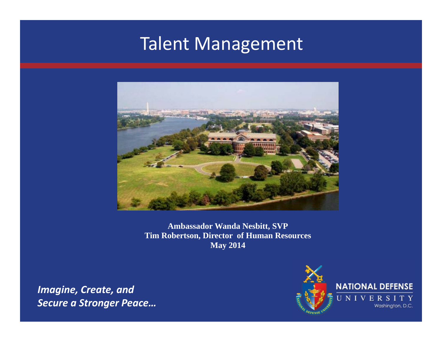# Talent Management



**Ambassador Wanda Nesbitt, SVP Tim Robertson, Director of Human Resources May 2014**

*Imagine, Create, and Secure a Stronger Peace…*

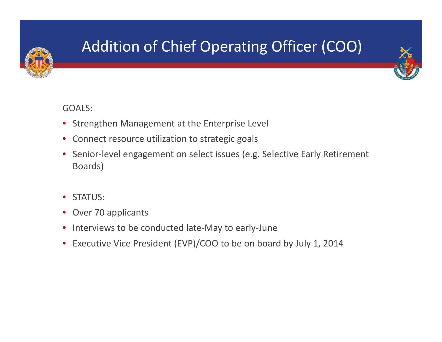

# Addition of Chief Operating Officer (COO)



#### GOALS:

- Strengthen Management at the Enterprise Level
- $\bullet$ Connect resource utilization to strategic goals
- $\bullet$ Senior-level engagement on select issues (e.g. Selective Early Retirement Boards)
- $\bullet$ STATUS:
- •• Over 70 applicants
- $\bullet$ ● Interviews to be conducted late-May to early-June
- $\bullet$ Executive Vice President (EVP)/COO to be on board by July 1, 2014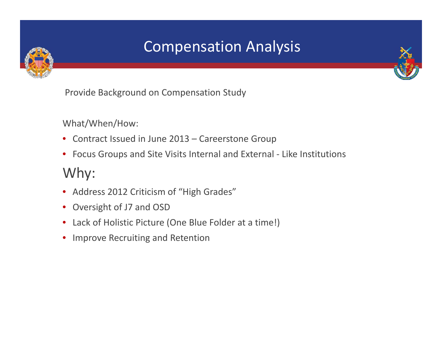

## Compensation Analysis



Provide Background on Compensation Study

What/When/How:

- Contract Issued in June 2013 Careerstone Group
- Focus Groups and Site Visits Internal and External ‐ Like Institutions

#### Why:

- Address 2012 Criticism of "High Grades"
- $\bullet$ Oversight of J7 and OSD
- Lack of Holistic Picture (One Blue Folder at <sup>a</sup> time!)
- Improve Recruiting and Retention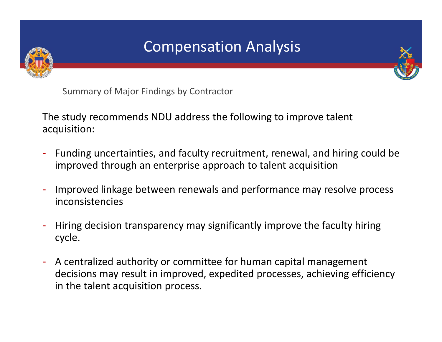

### Compensation Analysis



Summary of Major Findings by Contractor

The study recommends NDU address the following to improve talent acquisition:

- Funding uncertainties, and faculty recruitment, renewal, and hiring could be improved through an enterprise approach to talent acquisition
- - Improved linkage between renewals and performance may resolve process inconsistencies
- - Hiring decision transparency may significantly improve the faculty hiring cycle.
- A centralized authority or committee for human capital management decisions may result in improved, expedited processes, achieving efficiency in the talent acquisition process.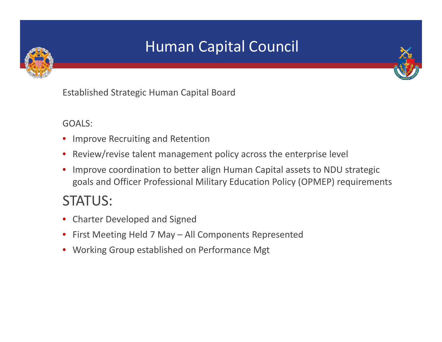

## Human Capital Council



Established Strategic Human Capital Board

GOALS:

- •Improve Recruiting and Retention
- $\bullet$ Review/revise talent management policy across the enterprise level
- • Improve coordination to better align Human Capital assets to NDU strategic goals and Officer Professional Military Education Policy (OPMEP) requirements

#### STATUS:

- Charter Developed and Signed
- •First Meeting Held 7 May – All Components Represented
- Working Group established on Performance Mgt